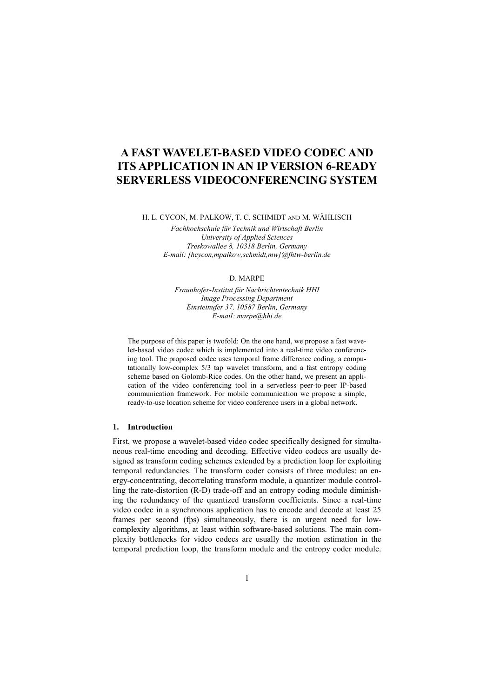# **A FAST WAVELET-BASED VIDEO CODEC AND IT[S APPLICATION IN AN IP VERSIO](http://www.microsoft.com/Windows/NetMeeting/Corp/ResKit/Chapter3/default.asp)N 6-READY SERVERLESS VIDEOCONFERENCING SYSTEM**

H. L. CYCON, M. PALKOW, T. C. SCHMIDT AND M. WÄHLISCH

*Fachhochschule für Technik und Wirtschaft Berlin University of Applied Sciences Treskowallee 8, 10318 Berlin, Germany E-mail: [hcycon,mpalkow,schmidt,mw]@fhtw-berlin.de* 

#### D. MARPE

*Fraunhofer-Institut für Nachrichtentechnik HHI Image Processing Department Einsteinufer 37, 10587 Berlin, Germany E-mail: marpe@hhi.de*

The purpose of this paper is twofold: On the one hand, we propose a fast wavelet-based video codec which is implemented into a real-time video conferencing tool. The proposed codec uses temporal frame difference coding, a computationally low-complex 5/3 tap wavelet transform, and a fast entropy coding scheme based on Golomb-Rice codes. On the other hand, we present an application of the video conferencing tool in a serverless peer-to-peer IP-based communication framework. For mobile communication we propose a simple, ready-to-use location scheme for video conference users in a global network.

## **1. Introduction**

First, we propose a wavelet-based video codec specifically designed for simultaneous real-time encoding and decoding. Effective video codecs are usually designed as transform coding schemes extended by a prediction loop for exploiting temporal redundancies. The transform coder consists of three modules: an energy-concentrating, decorrelating transform module, a quantizer module controlling the rate-distortion (R-D) trade-off and an entropy coding module diminishing the redundancy of the quantized transform coefficients. Since a real-time video codec in a synchronous application has to encode and decode at least 25 frames per second (fps) simultaneously, there is an urgent need for lowcomplexity algorithms, at least within software-based solutions. The main complexity bottlenecks for video codecs are usually the motion estimation in the temporal prediction loop, the transform module and the entropy coder module.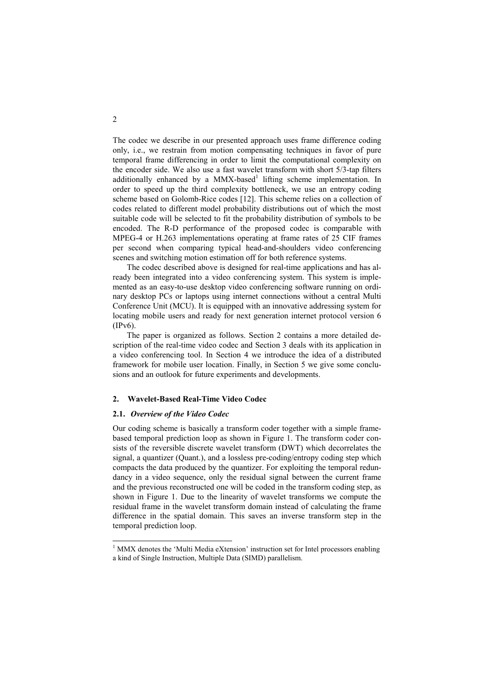The codec we describe in our presented approach uses frame difference coding only, i.e., we restrain from motion compensating techniques in favor of pure temporal frame differencing in order to limit the computational complexity on the encoder side. We also use a fast wavelet transform with short 5/3-tap filters additionally enhanced by a MMX-based<sup>1</sup> lifting scheme implementation. In order to speed up the third complexity bottleneck, we use an entropy coding scheme based on Golomb-Rice codes [12]. This scheme relies on a collection of codes related to different model probability distributions out of which the most suitable code will be selected to fit the probability distribution of symbols to be encoded. The R-D performance of the proposed codec is comparable with MPEG-4 or H.263 implementations operating at frame rates of 25 CIF frames per second when comparing typical head-and-shoulders video conferencing scenes and switching motion estimation off for both reference systems.

The codec described above is designed for real-time applications and has already been integrated into a video conferencing system. This system is implemented as an easy-to-use desktop video conferencing software running on ordinary desktop PCs or laptops using internet connections without a central Multi Conference Unit (MCU). It is equipped with an innovative addressing system for locating mobile users and ready for next generation internet protocol version 6 (IPv6).

The paper is organized as follows. Section 2 contains a more detailed description of the real-time video codec and Section 3 deals with its application in a video conferencing tool. In Section 4 we introduce the idea of a distributed framework for mobile user location. Finally, in Section 5 we give some conclusions and an outlook for future experiments and developments.

#### **2. Wavelet-Based Real-Time Video Codec**

#### **2.1.** *Overview of the Video Codec*

Our coding scheme is basically a transform coder together with a simple framebased temporal prediction loop as shown in [Figure 1.](#page-2-0) The transform coder consists of the reversible discrete wavelet transform (DWT) which decorrelates the signal, a quantizer (Quant.), and a lossless pre-coding/entropy coding step which compacts the data produced by the quantizer. For exploiting the temporal redundancy in a video sequence, only the residual signal between the current frame and the previous reconstructed one will be coded in the transform coding step, as shown in [Figure 1.](#page-2-0) Due to the linearity of wavelet transforms we compute the residual frame in the wavelet transform domain instead of calculating the frame difference in the spatial domain. This saves an inverse transform step in the temporal prediction loop.

<sup>&</sup>lt;sup>1</sup> MMX denotes the 'Multi Media eXtension' instruction set for Intel processors enabling a kind of Single Instruction, Multiple Data (SIMD) parallelism.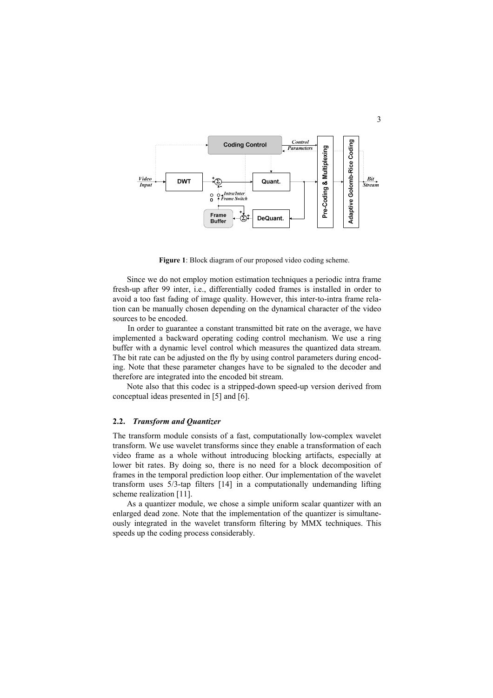<span id="page-2-0"></span>

**Figure 1**: Block diagram of our proposed video coding scheme.

Since we do not employ motion estimation techniques a periodic intra frame fresh-up after 99 inter, i.e., differentially coded frames is installed in order to avoid a too fast fading of image quality. However, this inter-to-intra frame relation can be manually chosen depending on the dynamical character of the video sources to be encoded.

In order to guarantee a constant transmitted bit rate on the average, we have implemented a backward operating coding control mechanism. We use a ring buffer with a dynamic level control which measures the quantized data stream. The bit rate can be adjusted on the fly by using control parameters during encoding. Note that these parameter changes have to be signaled to the decoder and therefore are integrated into the encoded bit stream.

Note also that this codec is a stripped-down speed-up version derived from conceptual ideas presented in [5] and [6].

### **2.2.** *Transform and Quantizer*

The transform module consists of a fast, computationally low-complex wavelet transform. We use wavelet transforms since they enable a transformation of each video frame as a whole without introducing blocking artifacts, especially at lower bit rates. By doing so, there is no need for a block decomposition of frames in the temporal prediction loop either. Our implementation of the wavelet transform uses 5/3-tap filters [14] in a computationally undemanding lifting scheme realization [11].

As a quantizer module, we chose a simple uniform scalar quantizer with an enlarged dead zone. Note that the implementation of the quantizer is simultaneously integrated in the wavelet transform filtering by MMX techniques. This speeds up the coding process considerably.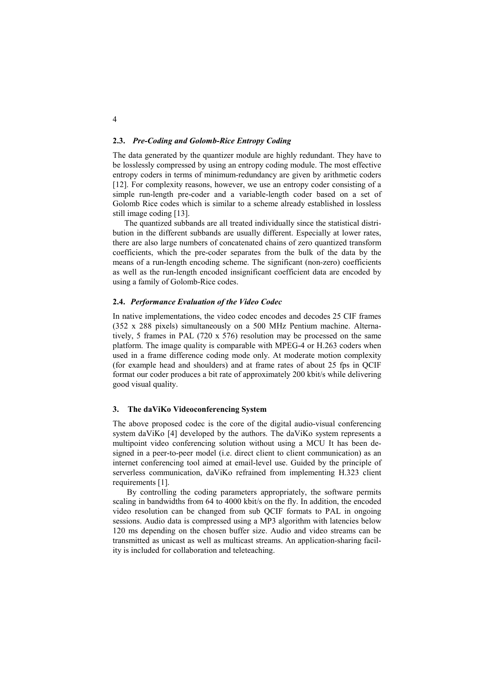#### **2.3.** *Pre-Coding and Golomb-Rice Entropy Coding*

The data generated by the quantizer module are highly redundant. They have to be losslessly compressed by using an entropy coding module. The most effective entropy coders in terms of minimum-redundancy are given by arithmetic coders [12]. For complexity reasons, however, we use an entropy coder consisting of a simple run-length pre-coder and a variable-length coder based on a set of Golomb Rice codes which is similar to a scheme already established in lossless still image coding [13].

The quantized subbands are all treated individually since the statistical distribution in the different subbands are usually different. Especially at lower rates, there are also large numbers of concatenated chains of zero quantized transform coefficients, which the pre-coder separates from the bulk of the data by the means of a run-length encoding scheme. The significant (non-zero) coefficients as well as the run-length encoded insignificant coefficient data are encoded by using a family of Golomb-Rice codes.

#### **2.4.** *Performance Evaluation of the Video Codec*

In native implementations, the video codec encodes and decodes 25 CIF frames (352 x 288 pixels) simultaneously on a 500 MHz Pentium machine. Alternatively, 5 frames in PAL (720 x 576) resolution may be processed on the same platform. The image quality is comparable with MPEG-4 or H.263 coders when used in a frame difference coding mode only. At moderate motion complexity (for example head and shoulders) and at frame rates of about 25 fps in QCIF format our coder produces a bit rate of approximately 200 kbit/s while delivering good visual quality.

#### **3. The daViKo Videoconferencing System**

The above proposed codec is the core of the digital audio-visual conferencing system daViKo [4] developed by the authors. The daViKo system represents a multipoint video conferencing solution without using a MCU It has been designed in a peer-to-peer model (i.e. direct client to client communication) as an internet conferencing tool aimed at email-level use. Guided by the principle of serverless communication, daViKo refrained from implementing H.323 client requirements [1].

By controlling the coding parameters appropriately, the software permits scaling in bandwidths from 64 to 4000 kbit/s on the fly. In addition, the encoded video resolution can be changed from sub QCIF formats to PAL in ongoing sessions. Audio data is compressed using a MP3 algorithm with latencies below 120 ms depending on the chosen buffer size. Audio and video streams can be transmitted as unicast as well as multicast streams. An application-sharing facility is included for collaboration and teleteaching.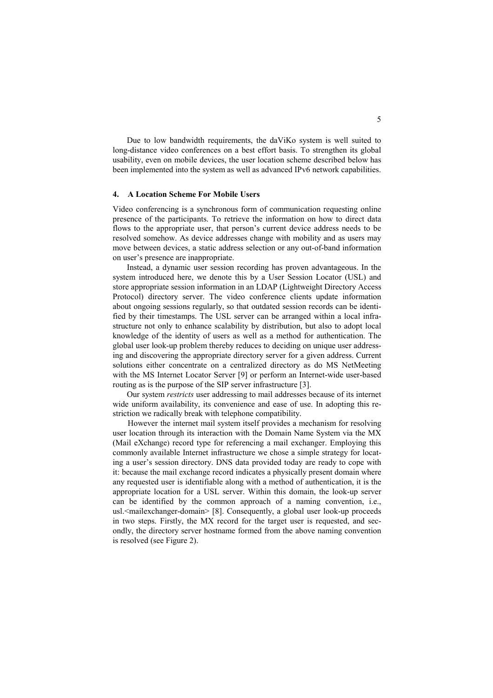Due to low bandwidth requirements, the daViKo system is well suited to long-distance video conferences on a best effort basis. To strengthen its global usability, even on mobile devices, the user location scheme described below has been implemented into the system as well as advanced IPv6 network capabilities.

## **4. A Location Scheme For Mobile Users**

Video conferencing is a synchronous form of communication requesting online presence of the participants. To retrieve the information on how to direct data flows to the appropriate user, that person's current device address needs to be resolved somehow. As device addresses change with mobility and as users may move between devices, a static address selection or any out-of-band information on user's presence are inappropriate.

Instead, a dynamic user session recording has proven advantageous. In the system introduced here, we denote this by a User Session Locator (USL) and store appropriate session information in an LDAP (Lightweight Directory Access Protocol) directory server. The video conference clients update information about ongoing sessions regularly, so that outdated session records can be identified by their timestamps. The USL server can be arranged within a local infrastructure not only to enhance scalability by distribution, but also to adopt local knowledge of the identity of users as well as a method for authentication. The global user look-up problem thereby reduces to deciding on unique user addressing and discovering the appropriate directory server for a given address. Current solutions either concentrate on a centralized directory as do MS NetMeeting with the MS Internet Locator Server [9] or perform an Internet-wide user-based routing as is the purpose of the SIP server infrastructure [3].

Our system *restricts* user addressing to mail addresses because of its internet wide uniform availability, its convenience and ease of use. In adopting this restriction we radically break with telephone compatibility.

However the internet mail system itself provides a mechanism for resolving user location through its interaction with the Domain Name System via the MX (Mail eXchange) record type for referencing a mail exchanger. Employing this commonly available Internet infrastructure we chose a simple strategy for locating a user's session directory. DNS data provided today are ready to cope with it: because the mail exchange record indicates a physically present domain where any requested user is identifiable along with a method of authentication, it is the appropriate location for a USL server. Within this domain, the look-up server can be identified by the common approach of a naming convention, i.e., usl.<mailexchanger-domain> [8]. Consequently, a global user look-up proceeds in two steps. Firstly, the MX record for the target user is requested, and secondly, the directory server hostname formed from the above naming convention is resolved (see Figure 2).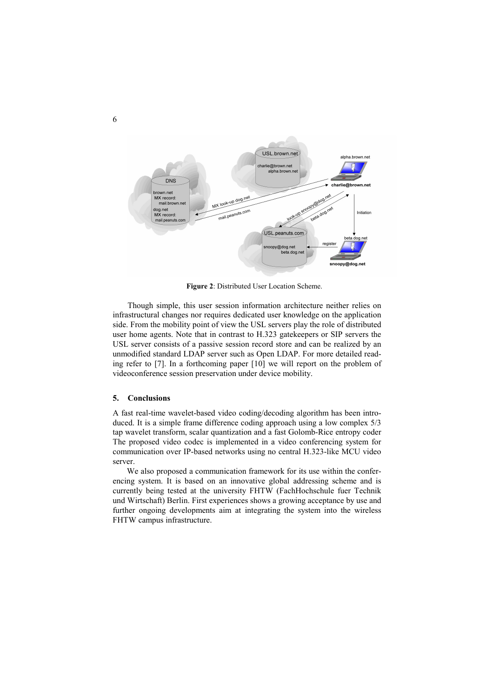

**Figure 2**: Distributed User Location Scheme.

Though simple, this user session information architecture neither relies on infrastructural changes nor requires dedicated user knowledge on the application side. From the mobility point of view the USL servers play the role of distributed user home agents. Note that in contrast to H.323 gatekeepers or SIP servers the USL server consists of a passive session record store and can be realized by an unmodified standard LDAP server such as Open LDAP. For more detailed reading refer to [7]. In a forthcoming paper [10] we will report on the problem of videoconference session preservation under device mobility.

## **5. Conclusions**

A fast real-time wavelet-based video coding/decoding algorithm has been introduced. It is a simple frame difference coding approach using a low complex 5/3 tap wavelet transform, scalar quantization and a fast Golomb-Rice entropy coder The proposed video codec is implemented in a video conferencing system for communication over IP-based networks using no central H.323-like MCU video server.

We also proposed a communication framework for its use within the conferencing system. It is based on an innovative global addressing scheme and is currently being tested at the university FHTW (FachHochschule fuer Technik und Wirtschaft) Berlin. First experiences shows a growing acceptance by use and further ongoing developments aim at integrating the system into the wireless FHTW campus infrastructure.